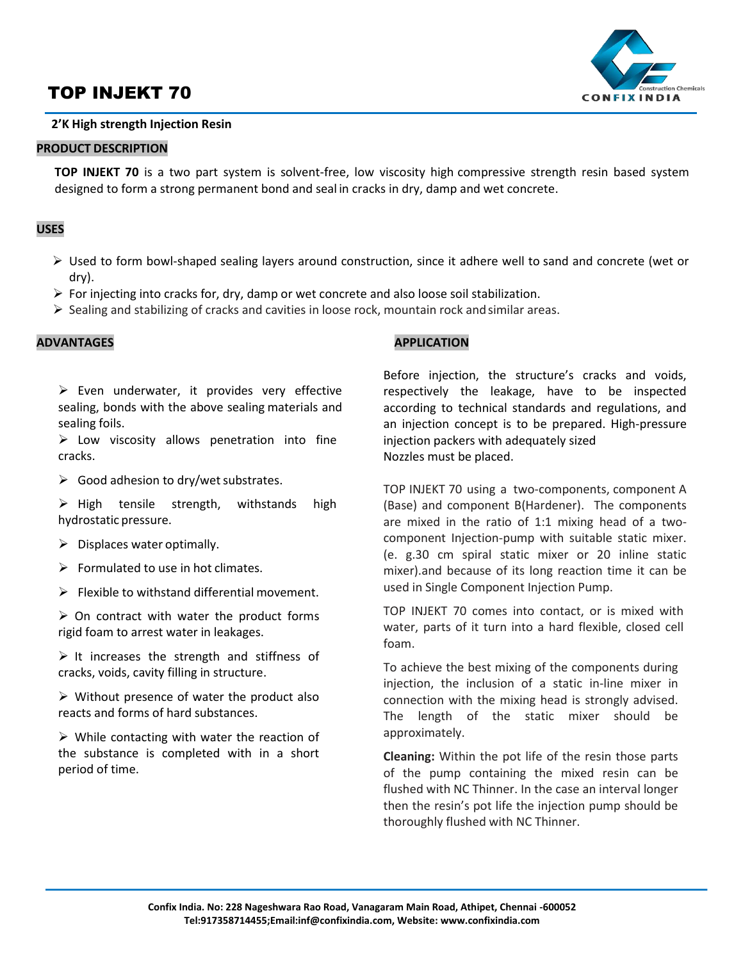# TOP INJEKT 70



# **2'K High strength Injection Resin**

## **PRODUCT DESCRIPTION**

**TOP INJEKT 70** is a two part system is solvent-free, low viscosity high compressive strength resin based system designed to form a strong permanent bond and seal in cracks in dry, damp and wet concrete.

# **USES**

- $\triangleright$  Used to form bowl-shaped sealing layers around construction, since it adhere well to sand and concrete (wet or dry).
- $\triangleright$  For injecting into cracks for, dry, damp or wet concrete and also loose soil stabilization.
- $\triangleright$  Sealing and stabilizing of cracks and cavities in loose rock, mountain rock and similar areas.

## **ADVANTAGES**

 $\triangleright$  Even underwater, it provides very effective sealing, bonds with the above sealing materials and sealing foils.

 $\triangleright$  Low viscosity allows penetration into fine cracks.

 $\triangleright$  Good adhesion to dry/wet substrates.

 $\triangleright$  High tensile strength, withstands high hydrostatic pressure.

- $\triangleright$  Displaces water optimally.
- $\triangleright$  Formulated to use in hot climates.
- $\triangleright$  Flexible to withstand differential movement.

 $\triangleright$  On contract with water the product forms rigid foam to arrest water in leakages.

 $\triangleright$  It increases the strength and stiffness of cracks, voids, cavity filling in structure.

 $\triangleright$  Without presence of water the product also reacts and forms of hard substances.

 $\triangleright$  While contacting with water the reaction of the substance is completed with in a short period of time.

## **APPLICATION**

Before injection, the structure's cracks and voids, respectively the leakage, have to be inspected according to technical standards and regulations, and an injection concept is to be prepared. High-pressure injection packers with adequately sized Nozzles must be placed.

TOP INJEKT 70 using a two-components, component A (Base) and component B(Hardener). The components are mixed in the ratio of 1:1 mixing head of a twocomponent Injection-pump with suitable static mixer. (e. g.30 cm spiral static mixer or 20 inline static mixer).and because of its long reaction time it can be used in Single Component Injection Pump.

TOP INJEKT 70 comes into contact, or is mixed with water, parts of it turn into a hard flexible, closed cell foam.

To achieve the best mixing of the components during injection, the inclusion of a static in-line mixer in connection with the mixing head is strongly advised. The length of the static mixer should be approximately.

**Cleaning:** Within the pot life of the resin those parts of the pump containing the mixed resin can be flushed with NC Thinner. In the case an interval longer then the resin's pot life the injection pump should be thoroughly flushed with NC Thinner.